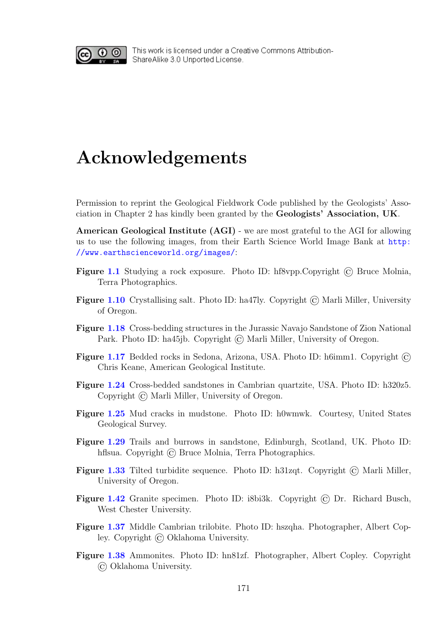<span id="page-0-0"></span>

This work is licensed under a Creative Commons Attribution-ShareAlike 3.0 Unported License.

## Acknowledgements

Permission to reprint the Geological Fieldwork Code published by the Geologists' Association in Chapter 2 has kindly been granted by the Geologists' Association, UK.

American Geological Institute (AGI) - we are most grateful to the AGI for allowing us to use the following images, from their Earth Science World Image Bank at [http:](http://www.earthscienceworld.org/images/) [//www.earthscienceworld.org/images/](http://www.earthscienceworld.org/images/):

- Figure 1.1 Studying a rock exposure. Photo ID: hf8vpp.Copyright © Bruce Molnia, Terra Photographics.
- Figure 1.10 Crystallising salt. Photo ID: ha47ly. Copyright © Marli Miller, University of Oregon.
- Figure 1.18 Cross-bedding structures in the Jurassic Navajo Sandstone of Zion National Park. Photo ID: ha45jb. Copyright © Marli Miller, University of Oregon.
- Figure 1.17 Bedded rocks in Sedona, Arizona, USA. Photo ID: h6imm1. Copyright  $\circled{c}$ Chris Keane, American Geological Institute.
- Figure 1.24 Cross-bedded sandstones in Cambrian quartzite, USA. Photo ID: h320z5. Copyright © Marli Miller, University of Oregon.
- Figure 1.25 Mud cracks in mudstone. Photo ID: h0wmwk. Courtesy, United States Geological Survey.
- Figure 1.29 Trails and burrows in sandstone, Edinburgh, Scotland, UK. Photo ID: hflsua. Copyright  $\odot$  Bruce Molnia, Terra Photographics.
- Figure 1.33 Tilted turbidite sequence. Photo ID: h31zqt. Copyright  $\overline{C}$ ) Marli Miller, University of Oregon.
- Figure 1.42 Granite specimen. Photo ID: i8bi3k. Copyright © Dr. Richard Busch, West Chester University.
- Figure 1.37 Middle Cambrian trilobite. Photo ID: hszqha. Photographer, Albert Copley. Copyright © Oklahoma University.
- Figure 1.38 Ammonites. Photo ID: hn81zf. Photographer, Albert Copley. Copyright © Oklahoma University.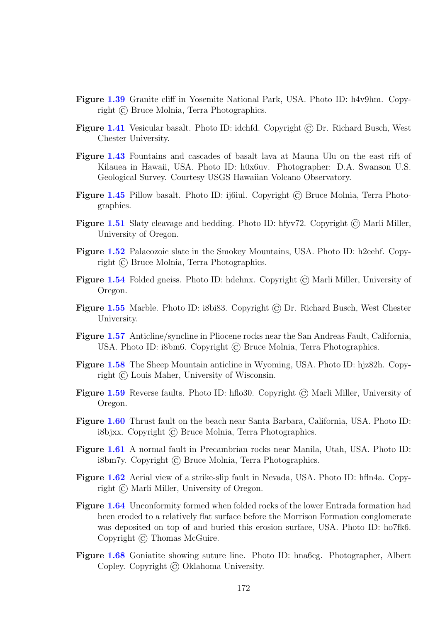- Figure [1.39](#page-0-0) Granite cliff in Yosemite National Park, USA. Photo ID: h4v9hm. Copyright © Bruce Molnia, Terra Photographics.
- Figure [1.41](#page-0-0) Vesicular basalt. Photo ID: idchfd. Copyright  $\odot$  Dr. Richard Busch, West Chester University.
- Figure [1.43](#page-0-0) Fountains and cascades of basalt lava at Mauna Ulu on the east rift of Kilauea in Hawaii, USA. Photo ID: h0x6uv. Photographer: D.A. Swanson U.S. Geological Survey. Courtesy USGS Hawaiian Volcano Observatory.
- Figure [1.45](#page-0-0) Pillow basalt. Photo ID: ij6iul. Copyright © Bruce Molnia, Terra Photographics.
- Figure [1.51](#page-0-0) Slaty cleavage and bedding. Photo ID: hfyv72. Copyright © Marli Miller, University of Oregon.
- Figure [1.52](#page-0-0) Palaeozoic slate in the Smokey Mountains, USA. Photo ID: h2eehf. Copyright © Bruce Molnia, Terra Photographics.
- Figure [1.54](#page-0-0) Folded gneiss. Photo ID: hdehnx. Copyright © Marli Miller, University of Oregon.
- Figure [1.55](#page-0-0) Marble. Photo ID: i8bi83. Copyright © Dr. Richard Busch, West Chester University.
- Figure [1.57](#page-0-0) Anticline/syncline in Pliocene rocks near the San Andreas Fault, California, USA. Photo ID: i8bm6. Copyright © Bruce Molnia, Terra Photographics.
- Figure [1.58](#page-0-0) The Sheep Mountain anticline in Wyoming, USA. Photo ID: hjz82h. Copyright © Louis Maher, University of Wisconsin.
- Figure [1.59](#page-0-0) Reverse faults. Photo ID: hflo30. Copyright  $\odot$  Marli Miller, University of Oregon.
- Figure [1.60](#page-0-0) Thrust fault on the beach near Santa Barbara, California, USA. Photo ID: i8bjxx. Copyright © Bruce Molnia, Terra Photographics.
- Figure [1.61](#page-0-0) A normal fault in Precambrian rocks near Manila, Utah, USA. Photo ID: i8bm7y. Copyright © Bruce Molnia, Terra Photographics.
- Figure [1.62](#page-0-0) Aerial view of a strike-slip fault in Nevada, USA. Photo ID: hfln4a. Copyright © Marli Miller, University of Oregon.
- Figure [1.64](#page-0-0) Unconformity formed when folded rocks of the lower Entrada formation had been eroded to a relatively flat surface before the Morrison Formation conglomerate was deposited on top of and buried this erosion surface, USA. Photo ID: ho7fk6. Copyright © Thomas McGuire.
- Figure [1.68](#page-0-0) Goniatite showing suture line. Photo ID: hna6cg. Photographer, Albert Copley. Copyright © Oklahoma University.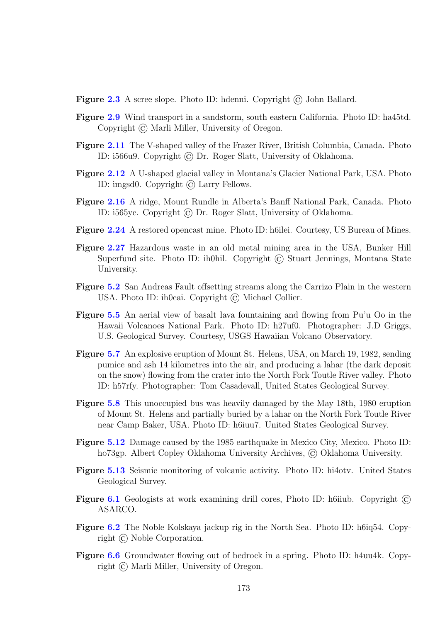Figure [2.3](#page-0-0) A scree slope. Photo ID: hdenni. Copyright © John Ballard.

- Figure [2.9](#page-0-0) Wind transport in a sandstorm, south eastern California. Photo ID: ha45td. Copyright © Marli Miller, University of Oregon.
- Figure [2.11](#page-0-0) The V-shaped valley of the Frazer River, British Columbia, Canada. Photo ID: i566u9. Copyright © Dr. Roger Slatt, University of Oklahoma.
- Figure [2.12](#page-0-0) A U-shaped glacial valley in Montana's Glacier National Park, USA. Photo ID: imgsd0. Copyright © Larry Fellows.
- Figure [2.16](#page-0-0) A ridge, Mount Rundle in Alberta's Banff National Park, Canada. Photo ID: i565yc. Copyright © Dr. Roger Slatt, University of Oklahoma.
- Figure [2.24](#page-0-0) A restored opencast mine. Photo ID: h6ilei. Courtesy, US Bureau of Mines.
- Figure [2.27](#page-0-0) Hazardous waste in an old metal mining area in the USA, Bunker Hill Superfund site. Photo ID: ih0hil. Copyright © Stuart Jennings, Montana State University.
- Figure [5.2](#page-0-0) San Andreas Fault offsetting streams along the Carrizo Plain in the western USA. Photo ID: ih0cai. Copyright © Michael Collier.
- Figure [5.5](#page-0-0) An aerial view of basalt lava fountaining and flowing from Pu'u Oo in the Hawaii Volcanoes National Park. Photo ID: h27uf0. Photographer: J.D Griggs, U.S. Geological Survey. Courtesy, USGS Hawaiian Volcano Observatory.
- Figure [5.7](#page-0-0) An explosive eruption of Mount St. Helens, USA, on March 19, 1982, sending pumice and ash 14 kilometres into the air, and producing a lahar (the dark deposit on the snow) flowing from the crater into the North Fork Toutle River valley. Photo ID: h57rfy. Photographer: Tom Casadevall, United States Geological Survey.
- Figure [5.8](#page-0-0) This unoccupied bus was heavily damaged by the May 18th, 1980 eruption of Mount St. Helens and partially buried by a lahar on the North Fork Toutle River near Camp Baker, USA. Photo ID: h6iuu7. United States Geological Survey.
- Figure [5.12](#page-0-0) Damage caused by the 1985 earthquake in Mexico City, Mexico. Photo ID: ho73gp. Albert Copley Oklahoma University Archives, © Oklahoma University.
- Figure [5.13](#page-0-0) Seismic monitoring of volcanic activity. Photo ID: hi4otv. United States Geological Survey.
- Figure [6.1](#page-0-0) Geologists at work examining drill cores, Photo ID: h6iiub. Copyright © ASARCO.
- Figure [6.2](#page-0-0) The Noble Kolskaya jackup rig in the North Sea. Photo ID: h6iq54. Copyright © Noble Corporation.
- Figure [6.6](#page-0-0) Groundwater flowing out of bedrock in a spring. Photo ID: h4uu4k. Copyright © Marli Miller, University of Oregon.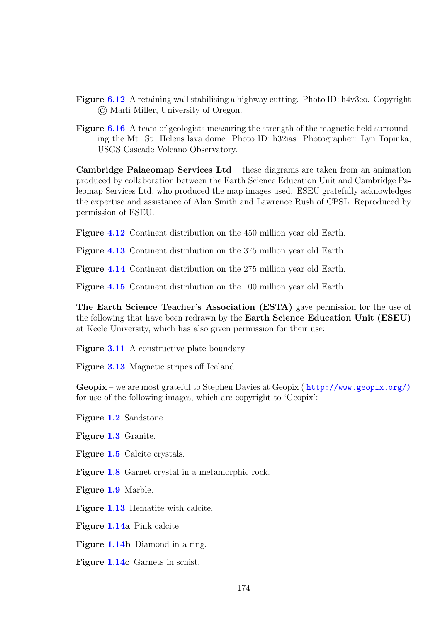- Figure [6.12](#page-0-0) A retaining wall stabilising a highway cutting. Photo ID: h4v3eo. Copyright © Marli Miller, University of Oregon.
- Figure [6.16](#page-0-0) A team of geologists measuring the strength of the magnetic field surrounding the Mt. St. Helens lava dome. Photo ID: h32ias. Photographer: Lyn Topinka, USGS Cascade Volcano Observatory.

Cambridge Palaeomap Services Ltd – these diagrams are taken from an animation produced by collaboration between the Earth Science Education Unit and Cambridge Paleomap Services Ltd, who produced the map images used. ESEU gratefully acknowledges the expertise and assistance of Alan Smith and Lawrence Rush of CPSL. Reproduced by permission of ESEU.

Figure [4.12](#page-0-0) Continent distribution on the 450 million year old Earth.

Figure [4.13](#page-0-0) Continent distribution on the 375 million year old Earth.

Figure [4.14](#page-0-0) Continent distribution on the 275 million year old Earth.

Figure [4.15](#page-0-0) Continent distribution on the 100 million year old Earth.

The Earth Science Teacher's Association (ESTA) gave permission for the use of the following that have been redrawn by the Earth Science Education Unit (ESEU) at Keele University, which has also given permission for their use:

Figure [3.11](#page-0-0) A constructive plate boundary

Figure [3.13](#page-0-0) Magnetic stripes off Iceland

Geopix – we are most grateful to Stephen Davies at Geopix ( [http://www.geopix.org/\)](http://www.geopix.org/)) for use of the following images, which are copyright to 'Geopix':

Figure [1.2](#page-0-0) Sandstone.

Figure [1.3](#page-0-0) Granite.

Figure [1.5](#page-0-0) Calcite crystals.

Figure [1.8](#page-0-0) Garnet crystal in a metamorphic rock.

Figure [1.9](#page-0-0) Marble.

Figure [1.13](#page-0-0) Hematite with calcite.

Figure [1.14a](#page-0-0) Pink calcite.

Figure [1.14b](#page-0-0) Diamond in a ring.

Figure [1.14c](#page-0-0) Garnets in schist.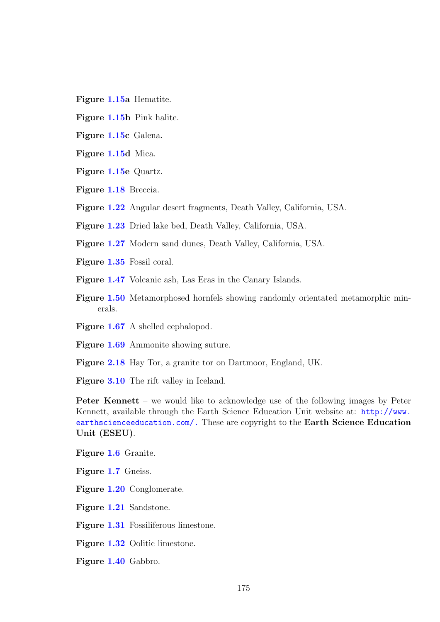- Figure [1.15a](#page-0-0) Hematite.
- Figure [1.15b](#page-0-0) Pink halite.
- Figure [1.15c](#page-0-0) Galena.
- Figure [1.15d](#page-0-0) Mica.
- Figure [1.15e](#page-0-0) Quartz.
- Figure [1.18](#page-0-0) Breccia.
- Figure [1.22](#page-0-0) Angular desert fragments, Death Valley, California, USA.
- Figure [1.23](#page-0-0) Dried lake bed, Death Valley, California, USA.
- Figure [1.27](#page-0-0) Modern sand dunes, Death Valley, California, USA.
- Figure [1.35](#page-0-0) Fossil coral.
- Figure [1.47](#page-0-0) Volcanic ash, Las Eras in the Canary Islands.
- Figure [1.50](#page-0-0) Metamorphosed hornfels showing randomly orientated metamorphic minerals.
- Figure [1.67](#page-0-0) A shelled cephalopod.
- Figure [1.69](#page-0-0) Ammonite showing suture.
- Figure [2.18](#page-0-0) Hay Tor, a granite tor on Dartmoor, England, UK.

Figure [3.10](#page-0-0) The rift valley in Iceland.

Peter Kennett – we would like to acknowledge use of the following images by Peter Kennett, available through the Earth Science Education Unit website at: [http://www.](http://www.earthscienceeducation.com/.) [earthscienceeducation.com/.](http://www.earthscienceeducation.com/.) These are copyright to the Earth Science Education Unit (ESEU).

Figure [1.6](#page-0-0) Granite.

Figure [1.7](#page-0-0) Gneiss.

Figure [1.20](#page-0-0) Conglomerate.

Figure [1.21](#page-0-0) Sandstone.

Figure [1.31](#page-0-0) Fossiliferous limestone.

Figure [1.32](#page-0-0) Oolitic limestone.

Figure [1.40](#page-0-0) Gabbro.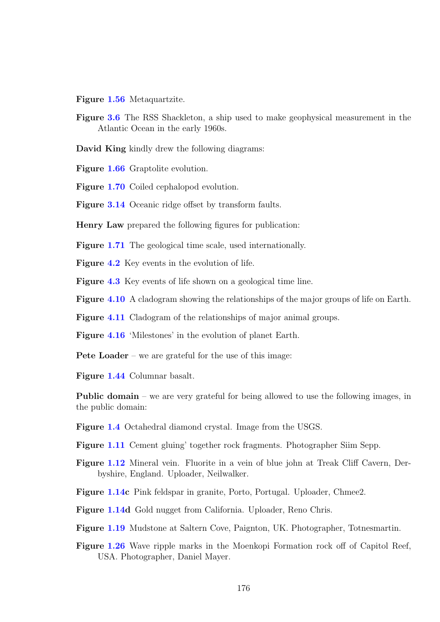Figure [1.56](#page-0-0) Metaquartzite.

- Figure [3.6](#page-0-0) The RSS Shackleton, a ship used to make geophysical measurement in the Atlantic Ocean in the early 1960s.
- David King kindly drew the following diagrams:

Figure [1.66](#page-0-0) Graptolite evolution.

Figure [1.70](#page-0-0) Coiled cephalopod evolution.

Figure [3.14](#page-0-0) Oceanic ridge offset by transform faults.

Henry Law prepared the following figures for publication:

Figure [1.71](#page-0-0) The geological time scale, used internationally.

Figure [4.2](#page-0-0) Key events in the evolution of life.

Figure [4.3](#page-0-0) Key events of life shown on a geological time line.

Figure [4.10](#page-0-0) A cladogram showing the relationships of the major groups of life on Earth.

Figure [4.11](#page-0-0) Cladogram of the relationships of major animal groups.

Figure [4.16](#page-0-0) 'Milestones' in the evolution of planet Earth.

Pete Loader – we are grateful for the use of this image:

Figure [1.44](#page-0-0) Columnar basalt.

Public domain – we are very grateful for being allowed to use the following images, in the public domain:

Figure [1.4](#page-0-0) Octahedral diamond crystal. Image from the USGS.

Figure [1.11](#page-0-0) Cement gluing' together rock fragments. Photographer Siim Sepp.

Figure [1.12](#page-0-0) Mineral vein. Fluorite in a vein of blue john at Treak Cliff Cavern, Derbyshire, England. Uploader, Neilwalker.

Figure [1.14c](#page-0-0) Pink feldspar in granite, Porto, Portugal. Uploader, Chmee2.

Figure [1.14d](#page-0-0) Gold nugget from California. Uploader, Reno Chris.

Figure [1.19](#page-0-0) Mudstone at Saltern Cove, Paignton, UK. Photographer, Totnesmartin.

Figure [1.26](#page-0-0) Wave ripple marks in the Moenkopi Formation rock off of Capitol Reef, USA. Photographer, Daniel Mayer.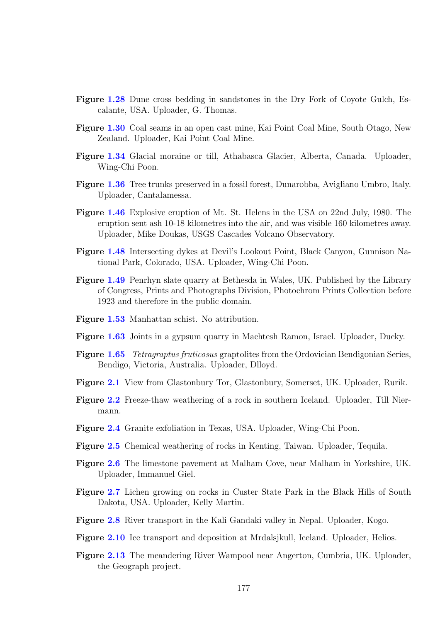- Figure [1.28](#page-0-0) Dune cross bedding in sandstones in the Dry Fork of Coyote Gulch, Escalante, USA. Uploader, G. Thomas.
- Figure [1.30](#page-0-0) Coal seams in an open cast mine, Kai Point Coal Mine, South Otago, New Zealand. Uploader, Kai Point Coal Mine.
- Figure [1.34](#page-0-0) Glacial moraine or till, Athabasca Glacier, Alberta, Canada. Uploader, Wing-Chi Poon.
- Figure [1.36](#page-0-0) Tree trunks preserved in a fossil forest, Dunarobba, Avigliano Umbro, Italy. Uploader, Cantalamessa.
- Figure [1.46](#page-0-0) Explosive eruption of Mt. St. Helens in the USA on 22nd July, 1980. The eruption sent ash 10-18 kilometres into the air, and was visible 160 kilometres away. Uploader, Mike Doukas, USGS Cascades Volcano Observatory.
- Figure [1.48](#page-0-0) Intersecting dykes at Devil's Lookout Point, Black Canyon, Gunnison National Park, Colorado, USA. Uploader, Wing-Chi Poon.
- Figure [1.49](#page-0-0) Penrhyn slate quarry at Bethesda in Wales, UK. Published by the Library of Congress, Prints and Photographs Division, Photochrom Prints Collection before 1923 and therefore in the public domain.
- Figure [1.53](#page-0-0) Manhattan schist. No attribution.
- Figure [1.63](#page-0-0) Joints in a gypsum quarry in Machtesh Ramon, Israel. Uploader, Ducky.
- Figure [1.65](#page-0-0) Tetragraptus fruticosus graptolites from the Ordovician Bendigonian Series, Bendigo, Victoria, Australia. Uploader, Dlloyd.
- Figure [2.1](#page-0-0) View from Glastonbury Tor, Glastonbury, Somerset, UK. Uploader, Rurik.
- Figure [2.2](#page-0-0) Freeze-thaw weathering of a rock in southern Iceland. Uploader, Till Niermann.
- Figure [2.4](#page-0-0) Granite exfoliation in Texas, USA. Uploader, Wing-Chi Poon.
- Figure [2.5](#page-0-0) Chemical weathering of rocks in Kenting, Taiwan. Uploader, Tequila.
- Figure [2.6](#page-0-0) The limestone pavement at Malham Cove, near Malham in Yorkshire, UK. Uploader, Immanuel Giel.
- Figure [2.7](#page-0-0) Lichen growing on rocks in Custer State Park in the Black Hills of South Dakota, USA. Uploader, Kelly Martin.
- Figure [2.8](#page-0-0) River transport in the Kali Gandaki valley in Nepal. Uploader, Kogo.
- Figure [2.10](#page-0-0) Ice transport and deposition at Mrdalsjkull, Iceland. Uploader, Helios.
- Figure [2.13](#page-0-0) The meandering River Wampool near Angerton, Cumbria, UK. Uploader, the Geograph project.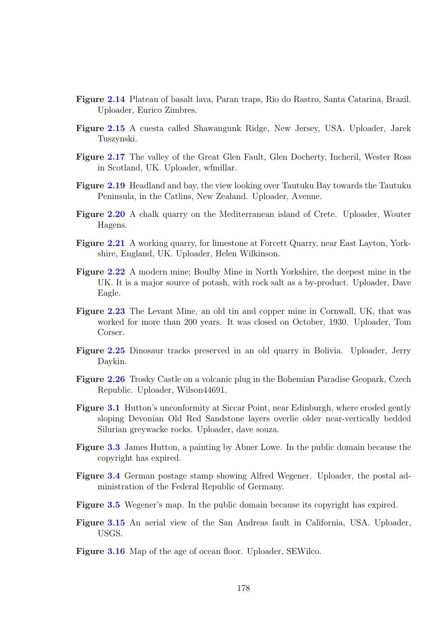- Figure [2.14](#page-0-0) Plateau of basalt lava, Paran traps, Rio do Rastro, Santa Catarina, Brazil. Uploader, Eurico Zimbres.
- Figure [2.15](#page-0-0) A cuesta called Shawangunk Ridge, New Jersey, USA. Uploader, Jarek Tuszynski.
- Figure [2.17](#page-0-0) The valley of the Great Glen Fault, Glen Docherty, Incheril, Wester Ross in Scotland, UK. Uploader, wfmillar.
- Figure [2.19](#page-0-0) Headland and bay, the view looking over Tautuku Bay towards the Tautuku Peninsula, in the Catlins, New Zealand. Uploader, Avenue.
- Figure [2.20](#page-0-0) A chalk quarry on the Mediterranean island of Crete. Uploader, Wouter Hagens.
- Figure [2.21](#page-0-0) A working quarry, for limestone at Forcett Quarry, near East Layton, Yorkshire, England, UK. Uploader, Helen Wilkinson.
- Figure [2.22](#page-0-0) A modern mine; Boulby Mine in North Yorkshire, the deepest mine in the UK. It is a major source of potash, with rock salt as a by-product. Uploader, Dave Eagle.
- Figure [2.23](#page-0-0) The Levant Mine, an old tin and copper mine in Cornwall, UK, that was worked for more than 200 years. It was closed on October, 1930. Uploader, Tom Corser.
- Figure [2.25](#page-0-0) Dinosaur tracks preserved in an old quarry in Bolivia. Uploader, Jerry Daykin.
- Figure [2.26](#page-0-0) Trosky Castle on a volcanic plug in the Bohemian Paradise Geopark, Czech Republic. Uploader, Wilson44691.
- **Figure [3.1](#page-0-0)** Hutton's unconformity at Siccar Point, near Edinburgh, where eroded gently sloping Devonian Old Red Sandstone layers overlie older near-vertically bedded Silurian greywacke rocks. Uploader, dave souza.
- Figure [3.3](#page-0-0) James Hutton, a painting by Abner Lowe. In the public domain because the copyright has expired.
- Figure [3.4](#page-0-0) German postage stamp showing Alfred Wegener. Uploader, the postal administration of the Federal Republic of Germany.
- Figure [3.5](#page-0-0) Wegener's map. In the public domain because its copyright has expired.
- Figure [3.15](#page-0-0) An aerial view of the San Andreas fault in California, USA. Uploader, USGS.
- Figure [3.16](#page-0-0) Map of the age of ocean floor. Uploader, SEWilco.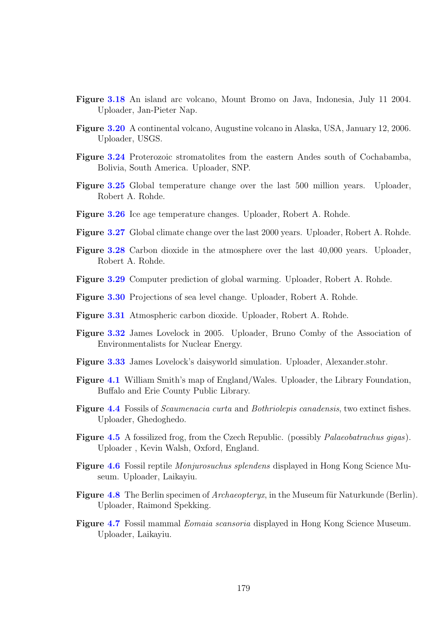- Figure [3.18](#page-0-0) An island arc volcano, Mount Bromo on Java, Indonesia, July 11 2004. Uploader, Jan-Pieter Nap.
- Figure [3.20](#page-0-0) A continental volcano, Augustine volcano in Alaska, USA, January 12, 2006. Uploader, USGS.
- Figure [3.24](#page-0-0) Proterozoic stromatolites from the eastern Andes south of Cochabamba, Bolivia, South America. Uploader, SNP.
- Figure [3.25](#page-0-0) Global temperature change over the last 500 million years. Uploader, Robert A. Rohde.
- Figure [3.26](#page-0-0) Ice age temperature changes. Uploader, Robert A. Rohde.
- Figure [3.27](#page-0-0) Global climate change over the last 2000 years. Uploader, Robert A. Rohde.
- Figure [3.28](#page-0-0) Carbon dioxide in the atmosphere over the last 40,000 years. Uploader, Robert A. Rohde.
- Figure [3.29](#page-0-0) Computer prediction of global warming. Uploader, Robert A. Rohde.
- Figure [3.30](#page-0-0) Projections of sea level change. Uploader, Robert A. Rohde.
- Figure [3.31](#page-0-0) Atmospheric carbon dioxide. Uploader, Robert A. Rohde.
- Figure [3.32](#page-0-0) James Lovelock in 2005. Uploader, Bruno Comby of the Association of Environmentalists for Nuclear Energy.
- Figure [3.33](#page-0-0) James Lovelock's daisyworld simulation. Uploader, Alexander.stohr.
- Figure [4.1](#page-0-0) William Smith's map of England/Wales. Uploader, the Library Foundation, Buffalo and Erie County Public Library.
- Figure [4.4](#page-0-0) Fossils of Scaumenacia curta and Bothriolepis canadensis, two extinct fishes. Uploader, Ghedoghedo.
- Figure [4.5](#page-0-0) A fossilized frog, from the Czech Republic. (possibly *Palaeobatrachus gigas*). Uploader , Kevin Walsh, Oxford, England.
- Figure [4.6](#page-0-0) Fossil reptile Monjurosuchus splendens displayed in Hong Kong Science Museum. Uploader, Laikayiu.
- **Figure [4.8](#page-0-0)** The Berlin specimen of  $Archeopteryx$ , in the Museum für Naturkunde (Berlin). Uploader, Raimond Spekking.
- Figure [4.7](#page-0-0) Fossil mammal Eomaia scansoria displayed in Hong Kong Science Museum. Uploader, Laikayiu.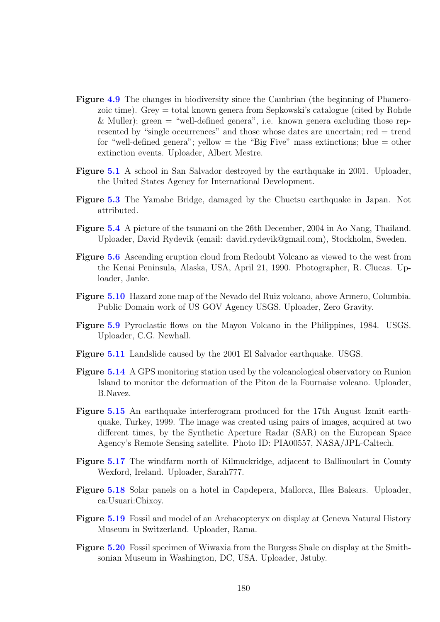- Figure [4.9](#page-0-0) The changes in biodiversity since the Cambrian (the beginning of Phanerozoic time). Grey = total known genera from Sepkowski's catalogue (cited by Rohde & Muller); green  $=$  "well-defined genera", i.e. known genera excluding those represented by "single occurrences" and those whose dates are uncertain; red = trend for "well-defined genera"; yellow  $=$  the "Big Five" mass extinctions; blue  $=$  other extinction events. Uploader, Albert Mestre.
- Figure [5.1](#page-0-0) A school in San Salvador destroyed by the earthquake in 2001. Uploader, the United States Agency for International Development.
- Figure [5.3](#page-0-0) The Yamabe Bridge, damaged by the Chuetsu earthquake in Japan. Not attributed.
- Figure [5.4](#page-0-0) A picture of the tsunami on the 26th December, 2004 in Ao Nang, Thailand. Uploader, David Rydevik (email: david.rydevik@gmail.com), Stockholm, Sweden.
- Figure [5.6](#page-0-0) Ascending eruption cloud from Redoubt Volcano as viewed to the west from the Kenai Peninsula, Alaska, USA, April 21, 1990. Photographer, R. Clucas. Uploader, Janke.
- Figure [5.10](#page-0-0) Hazard zone map of the Nevado del Ruiz volcano, above Armero, Columbia. Public Domain work of US GOV Agency USGS. Uploader, Zero Gravity.
- Figure [5.9](#page-0-0) Pyroclastic flows on the Mayon Volcano in the Philippines, 1984. USGS. Uploader, C.G. Newhall.
- Figure [5.11](#page-0-0) Landslide caused by the 2001 El Salvador earthquake. USGS.
- Figure [5.14](#page-0-0) A GPS monitoring station used by the volcanological observatory on Runion Island to monitor the deformation of the Piton de la Fournaise volcano. Uploader, B.Navez.
- Figure [5.15](#page-0-0) An earthquake interferogram produced for the 17th August Izmit earthquake, Turkey, 1999. The image was created using pairs of images, acquired at two different times, by the Synthetic Aperture Radar (SAR) on the European Space Agency's Remote Sensing satellite. Photo ID: PIA00557, NASA/JPL-Caltech.
- Figure [5.17](#page-0-0) The windfarm north of Kilmuckridge, adjacent to Ballinoulart in County Wexford, Ireland. Uploader, Sarah777.
- Figure [5.18](#page-0-0) Solar panels on a hotel in Capdepera, Mallorca, Illes Balears. Uploader, ca:Usuari:Chixoy.
- Figure [5.19](#page-0-0) Fossil and model of an Archaeopteryx on display at Geneva Natural History Museum in Switzerland. Uploader, Rama.
- Figure [5.20](#page-0-0) Fossil specimen of Wiwaxia from the Burgess Shale on display at the Smithsonian Museum in Washington, DC, USA. Uploader, Jstuby.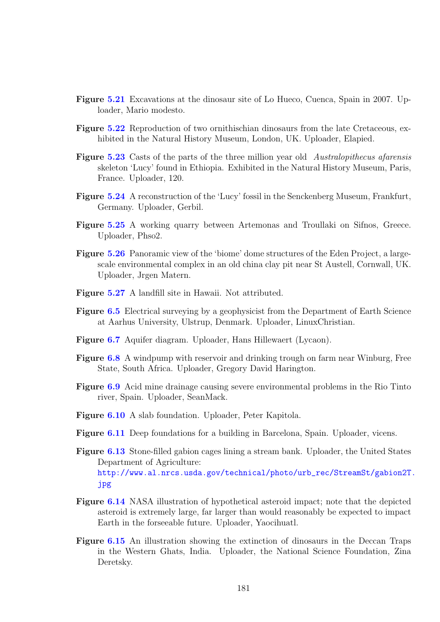- Figure [5.21](#page-0-0) Excavations at the dinosaur site of Lo Hueco, Cuenca, Spain in 2007. Uploader, Mario modesto.
- Figure [5.22](#page-0-0) Reproduction of two ornithischian dinosaurs from the late Cretaceous, exhibited in the Natural History Museum, London, UK. Uploader, Elapied.
- Figure [5.23](#page-0-0) Casts of the parts of the three million year old Australopithecus afarensis skeleton 'Lucy' found in Ethiopia. Exhibited in the Natural History Museum, Paris, France. Uploader, 120.
- Figure [5.24](#page-0-0) A reconstruction of the 'Lucy' fossil in the Senckenberg Museum, Frankfurt, Germany. Uploader, Gerbil.
- Figure [5.25](#page-0-0) A working quarry between Artemonas and Troullaki on Sifnos, Greece. Uploader, Phso2.
- Figure [5.26](#page-0-0) Panoramic view of the 'biome' dome structures of the Eden Project, a largescale environmental complex in an old china clay pit near St Austell, Cornwall, UK. Uploader, Jrgen Matern.
- Figure [5.27](#page-0-0) A landfill site in Hawaii. Not attributed.
- Figure [6.5](#page-0-0) Electrical surveying by a geophysicist from the Department of Earth Science at Aarhus University, Ulstrup, Denmark. Uploader, LinuxChristian.
- Figure [6.7](#page-0-0) Aquifer diagram. Uploader, Hans Hillewaert (Lycaon).
- Figure [6.8](#page-0-0) A windpump with reservoir and drinking trough on farm near Winburg, Free State, South Africa. Uploader, Gregory David Harington.
- Figure [6.9](#page-0-0) Acid mine drainage causing severe environmental problems in the Rio Tinto river, Spain. Uploader, SeanMack.
- Figure [6.10](#page-0-0) A slab foundation. Uploader, Peter Kapitola.
- Figure [6.11](#page-0-0) Deep foundations for a building in Barcelona, Spain. Uploader, vicens.
- Figure [6.13](#page-0-0) Stone-filled gabion cages lining a stream bank. Uploader, the United States Department of Agriculture: [http://www.al.nrcs.usda.gov/technical/photo/urb\\_rec/StreamSt/gabion2T.](http://www.al.nrcs.usda.gov/technical/photo/urb_rec/StreamSt/gabion2T.jpg) [jpg](http://www.al.nrcs.usda.gov/technical/photo/urb_rec/StreamSt/gabion2T.jpg)
- Figure [6.14](#page-0-0) NASA illustration of hypothetical asteroid impact; note that the depicted asteroid is extremely large, far larger than would reasonably be expected to impact Earth in the forseeable future. Uploader, Yaocihuatl.
- Figure [6.15](#page-0-0) An illustration showing the extinction of dinosaurs in the Deccan Traps in the Western Ghats, India. Uploader, the National Science Foundation, Zina Deretsky.